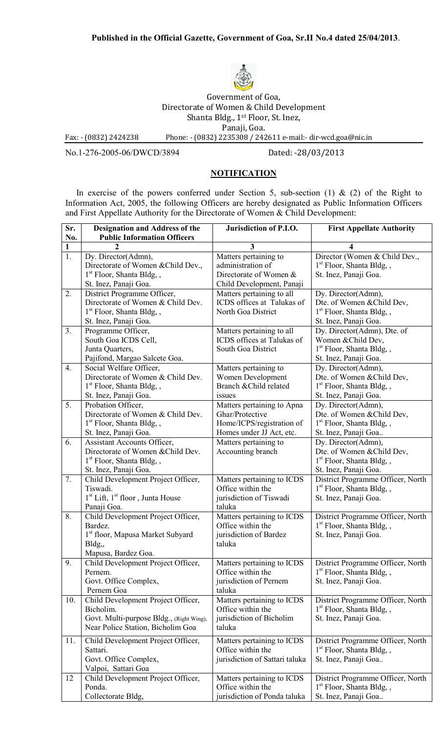

Government of Goa, Directorate of Women & Child Development Shanta Bldg., 1st Floor, St. Inez, Panaji, Goa. Fax: - (0832) 2424238 Phone: - (0832) 2235308 / 242611 e-mail:- dir-wcd.goa@nic.in

No.1-276-2005-06/DWCD/3894 Dated: -28/03/2013

## **NOTIFICATION**

In exercise of the powers conferred under Section 5, sub-section (1)  $\&$  (2) of the Right to Information Act, 2005, the following Officers are hereby designated as Public Information Officers and First Appellate Authority for the Directorate of Women & Child Development:

| Sr.<br>No.            | <b>Designation and Address of the</b><br><b>Public Information Officers</b> | Jurisdiction of P.I.O.                          | <b>First Appellate Authority</b>                                           |
|-----------------------|-----------------------------------------------------------------------------|-------------------------------------------------|----------------------------------------------------------------------------|
|                       |                                                                             | 3                                               |                                                                            |
| 1<br>$\overline{1}$ . | Dy. Director(Admn),                                                         | Matters pertaining to                           | Director (Women & Child Dev.,                                              |
|                       | Directorate of Women & Child Dev.,                                          | administration of                               | $1st$ Floor, Shanta Bldg, ,                                                |
|                       | $1st$ Floor, Shanta Bldg, ,                                                 | Directorate of Women &                          | St. Inez, Panaji Goa.                                                      |
|                       | St. Inez, Panaji Goa.                                                       | Child Development, Panaji                       |                                                                            |
| 2.                    | District Programme Officer,                                                 | Matters pertaining to all                       | Dy. Director(Admn),                                                        |
|                       | Directorate of Women & Child Dev.                                           | ICDS offices at Talukas of                      | Dte. of Women & Child Dev,                                                 |
|                       | $1st$ Floor, Shanta Bldg, ,                                                 | North Goa District                              | $1st$ Floor, Shanta Bldg, ,                                                |
|                       | St. Inez, Panaji Goa.                                                       |                                                 | St. Inez, Panaji Goa.                                                      |
| 3 <sub>1</sub>        | Programme Officer,                                                          | Matters pertaining to all                       | Dy. Director(Admn), Dte. of                                                |
|                       | South Goa ICDS Cell,                                                        | ICDS offices at Talukas of                      | Women & Child Dev,                                                         |
|                       | Junta Quarters,                                                             | South Goa District                              | 1 <sup>st</sup> Floor, Shanta Bldg, ,                                      |
|                       | Pajifond, Margao Salcete Goa.                                               |                                                 | St. Inez, Panaji Goa.                                                      |
| 4.                    | Social Welfare Officer,                                                     | Matters pertaining to                           | Dy. Director(Admn),                                                        |
|                       | Directorate of Women & Child Dev.                                           | Women Development                               | Dte. of Women & Child Dev,                                                 |
|                       | 1 <sup>st</sup> Floor, Shanta Bldg, ,                                       | Branch & Child related                          | $1st$ Floor, Shanta Bldg, ,                                                |
|                       | St. Inez, Panaji Goa.                                                       | issues                                          | St. Inez, Panaji Goa.                                                      |
| 5.                    | Probation Officer,                                                          | Matters pertaining to Apna                      | Dy. Director(Admn),                                                        |
|                       | Directorate of Women & Child Dev.                                           | Ghar/Protective                                 | Dte. of Women & Child Dev,                                                 |
|                       | $1st$ Floor, Shanta Bldg, ,                                                 | Home/ICPS/registration of                       | 1 <sup>st</sup> Floor, Shanta Bldg, ,                                      |
|                       | St. Inez, Panaji Goa.                                                       | Homes under JJ Act, etc.                        | St. Inez, Panaji Goa                                                       |
| 6.                    | Assistant Accounts Officer,                                                 | Matters pertaining to                           | Dy. Director(Admn),                                                        |
|                       | Directorate of Women & Child Dev.                                           | Accounting branch                               | Dte. of Women & Child Dev,                                                 |
|                       | 1 <sup>st</sup> Floor, Shanta Bldg, ,                                       |                                                 | $1st$ Floor, Shanta Bldg, ,                                                |
|                       | St. Inez, Panaji Goa.                                                       |                                                 | St. Inez, Panaji Goa.                                                      |
| 7.                    | Child Development Project Officer,<br>Tiswadi.                              | Matters pertaining to ICDS<br>Office within the | District Programme Officer, North<br>1 <sup>st</sup> Floor, Shanta Bldg, , |
|                       | $1st$ Lift, $1st$ floor, Junta House                                        | jurisdiction of Tiswadi                         | St. Inez, Panaji Goa.                                                      |
|                       | Panaji Goa.                                                                 | taluka                                          |                                                                            |
| 8.                    | Child Development Project Officer,                                          | Matters pertaining to ICDS                      | District Programme Officer, North                                          |
|                       | Bardez.                                                                     | Office within the                               | $1st$ Floor, Shanta Bldg, ,                                                |
|                       | 1 <sup>st</sup> floor, Mapusa Market Subyard                                | jurisdiction of Bardez                          | St. Inez, Panaji Goa.                                                      |
|                       | Bldg,,                                                                      | taluka                                          |                                                                            |
|                       | Mapusa, Bardez Goa.                                                         |                                                 |                                                                            |
| 9.                    | Child Development Project Officer,                                          | Matters pertaining to ICDS                      | District Programme Officer, North                                          |
|                       | Pernem.                                                                     | Office within the                               | $1st$ Floor, Shanta Bldg, ,                                                |
|                       | Govt. Office Complex,                                                       | jurisdiction of Pernem                          | St. Inez, Panaji Goa.                                                      |
|                       | Pernem Goa                                                                  | taluka                                          |                                                                            |
| 10.                   | Child Development Project Officer,                                          | Matters pertaining to ICDS                      | District Programme Officer, North                                          |
|                       | Bicholim.                                                                   | Office within the                               | $1st$ Floor, Shanta Bldg, ,                                                |
|                       | Govt. Multi-purpose Bldg., (Right Wing),                                    | jurisdiction of Bicholim                        | St. Inez, Panaji Goa.                                                      |
|                       | Near Police Station, Bicholim Goa                                           | taluka                                          |                                                                            |
| 11.                   | Child Development Project Officer,                                          | Matters pertaining to ICDS                      | District Programme Officer, North                                          |
|                       | Sattari.                                                                    | Office within the                               | 1 <sup>st</sup> Floor, Shanta Bldg, ,                                      |
|                       | Govt. Office Complex,                                                       | jurisdiction of Sattari taluka                  | St. Inez, Panaji Goa                                                       |
|                       | Valpoi, Sattari Goa                                                         |                                                 |                                                                            |
| 12                    | Child Development Project Officer,                                          | Matters pertaining to ICDS                      | District Programme Officer, North                                          |
|                       | Ponda.                                                                      | Office within the                               | $1st$ Floor, Shanta Bldg, ,                                                |
|                       | Collectorate Bldg,                                                          | jurisdiction of Ponda taluka                    | St. Inez, Panaji Goa                                                       |